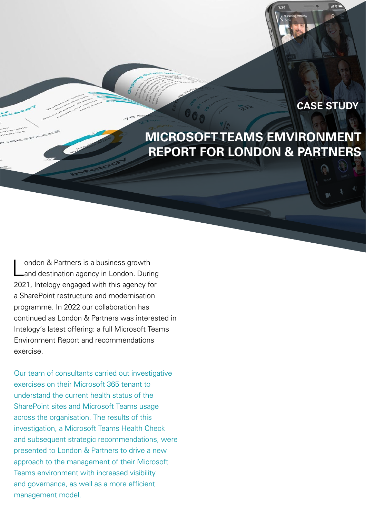#### **CASE STUDY**

## **MICROSOFT TEAMS EMVIRONMENT REPORT FOR LONDON & PARTNERS**

London & Partners is a business growth<br>
Land destination agency in London. During 2021, Intelogy engaged with this agency for a SharePoint restructure and modernisation programme. In 2022 our collaboration has continued as London & Partners was interested in Intelogy's latest offering: a full Microsoft Teams Environment Report and recommendations exercise.

Our team of consultants carried out investigative exercises on their Microsoft 365 tenant to understand the current health status of the SharePoint sites and Microsoft Teams usage across the organisation. The results of this investigation, a Microsoft Teams Health Check and subsequent strategic recommendations, were presented to London & Partners to drive a new approach to the management of their Microsoft Teams environment with increased visibility and governance, as well as a more efficient management model.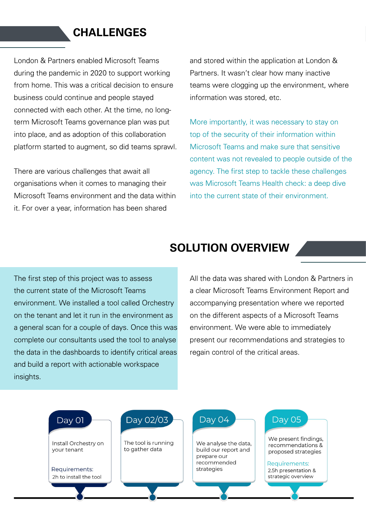### **CHALLENGES**

London & Partners enabled Microsoft Teams during the pandemic in 2020 to support working from home. This was a critical decision to ensure business could continue and people stayed connected with each other. At the time, no longterm Microsoft Teams governance plan was put into place, and as adoption of this collaboration platform started to augment, so did teams sprawl.

There are various challenges that await all organisations when it comes to managing their Microsoft Teams environment and the data within it. For over a year, information has been shared

and stored within the application at London & Partners. It wasn't clear how many inactive teams were clogging up the environment, where information was stored, etc.

More importantly, it was necessary to stay on top of the security of their information within Microsoft Teams and make sure that sensitive content was not revealed to people outside of the agency. The first step to tackle these challenges was Microsoft Teams Health check: a deep dive into the current state of their environment.

# **SOLUTION OVERVIEW**

The first step of this project was to assess the current state of the Microsoft Teams environment. We installed a tool called Orchestry on the tenant and let it run in the environment as a general scan for a couple of days. Once this was complete our consultants used the tool to analyse the data in the dashboards to identify critical areas and build a report with actionable workspace insights.

All the data was shared with London & Partners in a clear Microsoft Teams Environment Report and accompanying presentation where we reported on the different aspects of a Microsoft Teams environment. We were able to immediately present our recommendations and strategies to regain control of the critical areas.